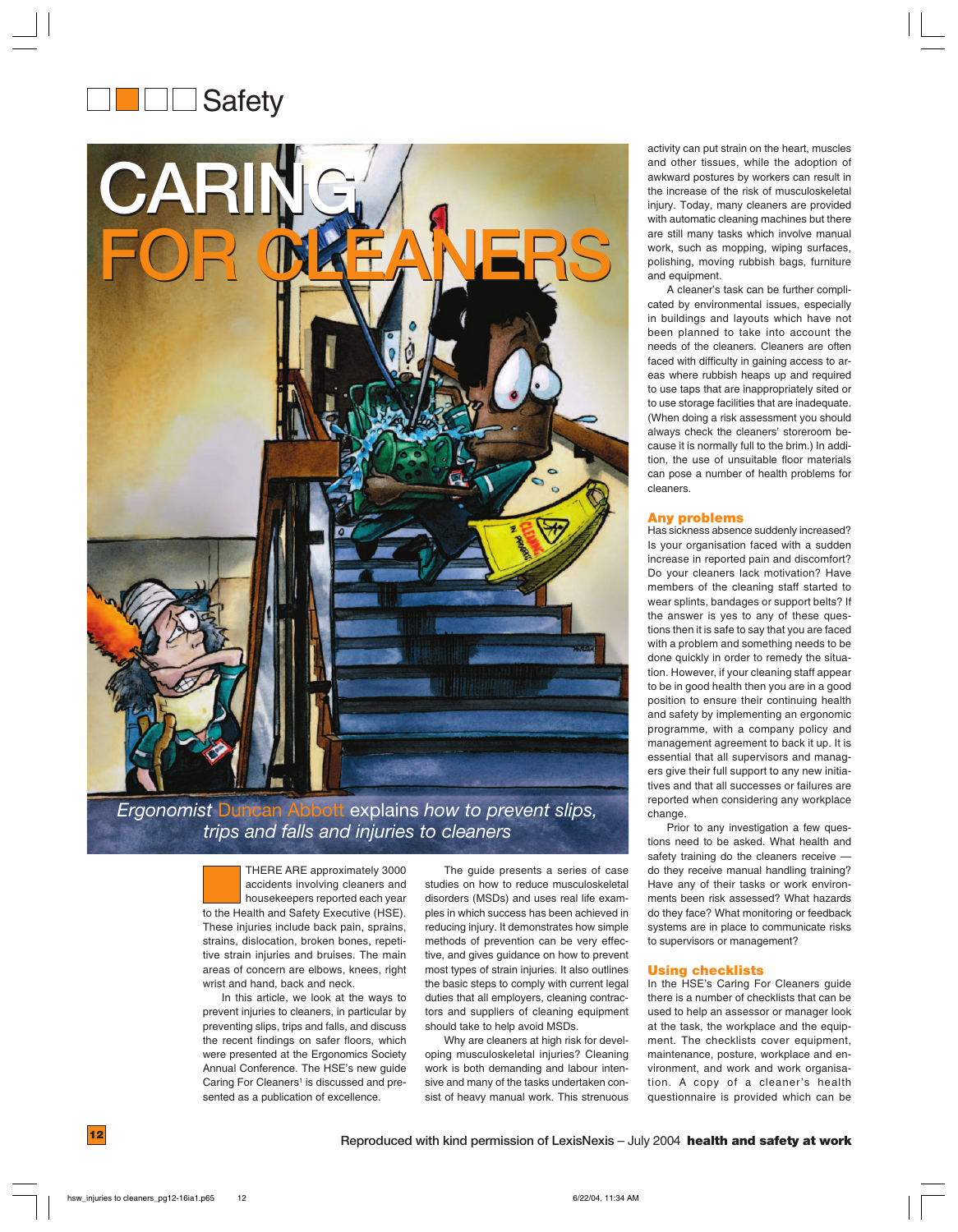# **Safety**



# *Ergonomist* Duncan Abbott explains *how to prevent slips, trips and falls and injuries to cleaners*

THERE ARE approximately 3000 accidents involving cleaners and housekeepers reported each year to the Health and Safety Executive (HSE). These injuries include back pain, sprains, strains, dislocation, broken bones, repetitive strain injuries and bruises. The main areas of concern are elbows, knees, right wrist and hand, back and neck.

In this article, we look at the ways to prevent injuries to cleaners, in particular by preventing slips, trips and falls, and discuss the recent findings on safer floors, which were presented at the Ergonomics Society Annual Conference. The HSE's new guide Caring For Cleaners<sup>1</sup> is discussed and presented as a publication of excellence.

The guide presents a series of case studies on how to reduce musculoskeletal disorders (MSDs) and uses real life examples in which success has been achieved in reducing injury. It demonstrates how simple methods of prevention can be very effective, and gives guidance on how to prevent most types of strain injuries. It also outlines the basic steps to comply with current legal duties that all employers, cleaning contractors and suppliers of cleaning equipment should take to help avoid MSDs.

Why are cleaners at high risk for developing musculoskeletal injuries? Cleaning work is both demanding and labour intensive and many of the tasks undertaken consist of heavy manual work. This strenuous activity can put strain on the heart, muscles and other tissues, while the adoption of awkward postures by workers can result in the increase of the risk of musculoskeletal injury. Today, many cleaners are provided with automatic cleaning machines but there are still many tasks which involve manual work, such as mopping, wiping surfaces, polishing, moving rubbish bags, furniture and equipment.

A cleaner's task can be further complicated by environmental issues, especially in buildings and layouts which have not been planned to take into account the needs of the cleaners. Cleaners are often faced with difficulty in gaining access to areas where rubbish heaps up and required to use taps that are inappropriately sited or to use storage facilities that are inadequate. (When doing a risk assessment you should always check the cleaners' storeroom because it is normally full to the brim.) In addition, the use of unsuitable floor materials can pose a number of health problems for cleaners.

# **Any problems**

Has sickness absence suddenly increased? Is your organisation faced with a sudden increase in reported pain and discomfort? Do your cleaners lack motivation? Have members of the cleaning staff started to wear splints, bandages or support belts? If the answer is yes to any of these questions then it is safe to say that you are faced with a problem and something needs to be done quickly in order to remedy the situation. However, if your cleaning staff appear to be in good health then you are in a good position to ensure their continuing health and safety by implementing an ergonomic programme, with a company policy and management agreement to back it up. It is essential that all supervisors and managers give their full support to any new initiatives and that all successes or failures are reported when considering any workplace change.

Prior to any investigation a few questions need to be asked. What health and safety training do the cleaners receive do they receive manual handling training? Have any of their tasks or work environments been risk assessed? What hazards do they face? What monitoring or feedback systems are in place to communicate risks to supervisors or management?

# **Using checklists**

In the HSE's Caring For Cleaners guide there is a number of checklists that can be used to help an assessor or manager look at the task, the workplace and the equipment. The checklists cover equipment, maintenance, posture, workplace and environment, and work and work organisation. A copy of a cleaner's health questionnaire is provided which can be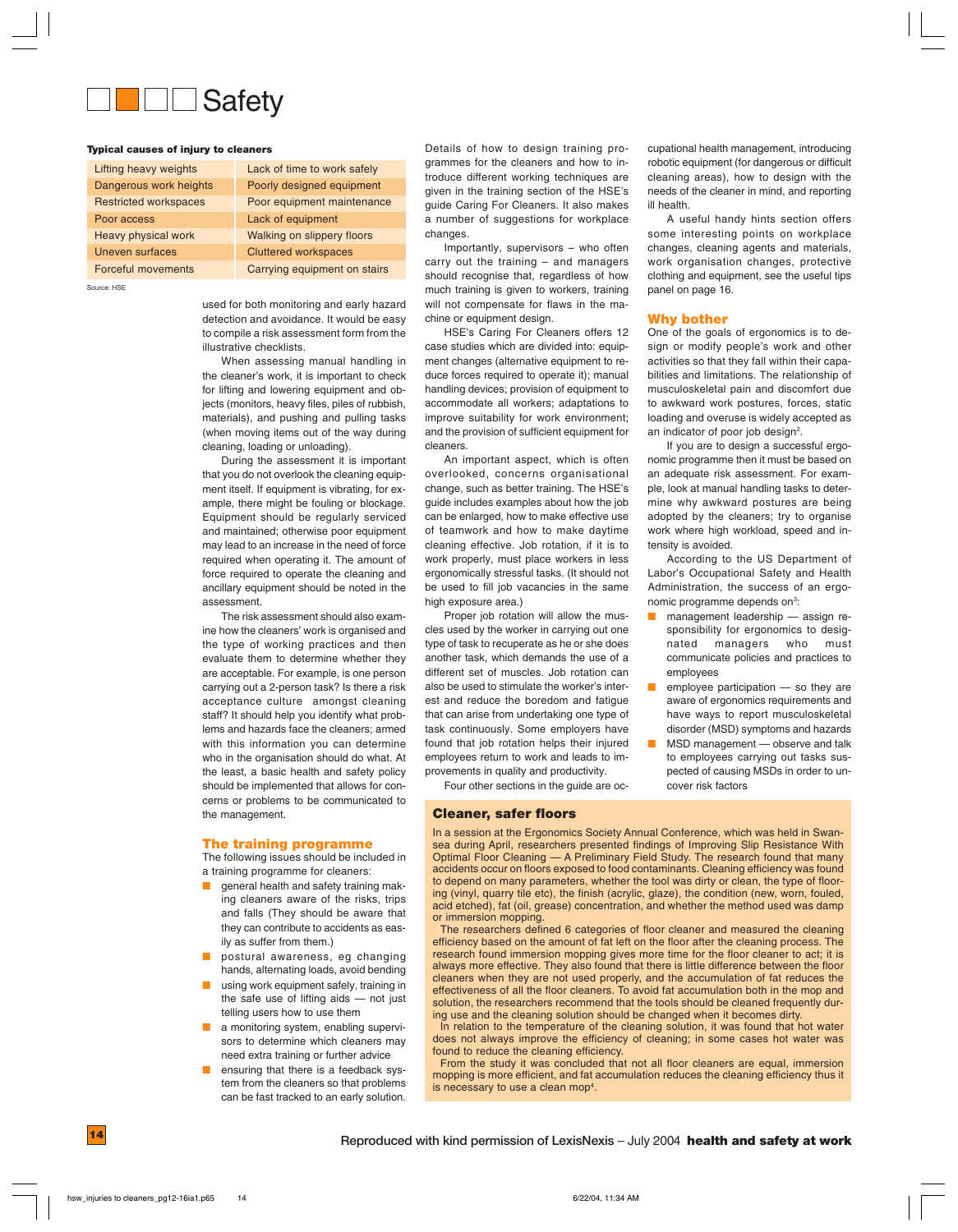

#### **Typical causes of injury to cleaners**

| Lifting heavy weights        | Lack of time to work safely       |
|------------------------------|-----------------------------------|
| Dangerous work heights       | Poorly designed equipment         |
| <b>Restricted workspaces</b> | Poor equipment maintenance        |
| Poor access                  | Lack of equipment                 |
| Heavy physical work          | <b>Walking on slippery floors</b> |
| <b>Uneven surfaces</b>       | <b>Cluttered workspaces</b>       |
| <b>Forceful movements</b>    | Carrying equipment on stairs      |

Source: HSE

used for both monitoring and early hazard detection and avoidance. It would be easy to compile a risk assessment form from the illustrative checklists.

When assessing manual handling in the cleaner's work, it is important to check for lifting and lowering equipment and objects (monitors, heavy files, piles of rubbish, materials), and pushing and pulling tasks (when moving items out of the way during cleaning, loading or unloading).

During the assessment it is important that you do not overlook the cleaning equipment itself. If equipment is vibrating, for example, there might be fouling or blockage. Equipment should be regularly serviced and maintained; otherwise poor equipment may lead to an increase in the need of force required when operating it. The amount of force required to operate the cleaning and ancillary equipment should be noted in the assessment.

The risk assessment should also examine how the cleaners' work is organised and the type of working practices and then evaluate them to determine whether they are acceptable. For example, is one person carrying out a 2-person task? Is there a risk acceptance culture amongst cleaning staff? It should help you identify what problems and hazards face the cleaners; armed with this information you can determine who in the organisation should do what. At the least, a basic health and safety policy should be implemented that allows for concerns or problems to be communicated to the management.

#### **The training programme**

The following issues should be included in a training programme for cleaners:

- aeneral health and safety training making cleaners aware of the risks, trips and falls (They should be aware that they can contribute to accidents as easily as suffer from them.)
- postural awareness, eg changing hands, alternating loads, avoid bending
- using work equipment safely, training in the safe use of lifting aids — not just telling users how to use them
- a monitoring system, enabling supervisors to determine which cleaners may need extra training or further advice
- ensuring that there is a feedback system from the cleaners so that problems can be fast tracked to an early solution.

Details of how to design training programmes for the cleaners and how to introduce different working techniques are given in the training section of the HSE's guide Caring For Cleaners. It also makes a number of suggestions for workplace changes.

Importantly, supervisors – who often carry out the training – and managers should recognise that, regardless of how much training is given to workers, training will not compensate for flaws in the machine or equipment design.

HSE's Caring For Cleaners offers 12 case studies which are divided into: equipment changes (alternative equipment to reduce forces required to operate it); manual handling devices; provision of equipment to accommodate all workers; adaptations to improve suitability for work environment; and the provision of sufficient equipment for cleaners.

An important aspect, which is often overlooked, concerns organisational change, such as better training. The HSE's guide includes examples about how the job can be enlarged, how to make effective use of teamwork and how to make daytime cleaning effective. Job rotation, if it is to work properly, must place workers in less ergonomically stressful tasks. (It should not be used to fill job vacancies in the same high exposure area.)

Proper job rotation will allow the muscles used by the worker in carrying out one type of task to recuperate as he or she does another task, which demands the use of a different set of muscles. Job rotation can also be used to stimulate the worker's interest and reduce the boredom and fatigue that can arise from undertaking one type of task continuously. Some employers have found that job rotation helps their injured employees return to work and leads to improvements in quality and productivity.

Four other sections in the guide are oc-

#### **Cleaner, safer floors**

cupational health management, introducing robotic equipment (for dangerous or difficult cleaning areas), how to design with the needs of the cleaner in mind, and reporting ill health.

A useful handy hints section offers some interesting points on workplace changes, cleaning agents and materials, work organisation changes, protective clothing and equipment, see the useful tips panel on page 16.

#### **Why bother**

One of the goals of ergonomics is to design or modify people's work and other activities so that they fall within their capabilities and limitations. The relationship of musculoskeletal pain and discomfort due to awkward work postures, forces, static loading and overuse is widely accepted as an indicator of poor job design<sup>2</sup>.

If you are to design a successful ergonomic programme then it must be based on an adequate risk assessment. For example, look at manual handling tasks to determine why awkward postures are being adopted by the cleaners; try to organise work where high workload, speed and intensity is avoided.

According to the US Department of Labor's Occupational Safety and Health Administration, the success of an ergonomic programme depends on<sup>3</sup>:

- management leadership assign responsibility for ergonomics to designated managers who must communicate policies and practices to employees
- $emplyee$  participation  $-$  so they are aware of ergonomics requirements and have ways to report musculoskeletal disorder (MSD) symptoms and hazards
- MSD management observe and talk to employees carrying out tasks suspected of causing MSDs in order to uncover risk factors

In a session at the Ergonomics Society Annual Conference, which was held in Swansea during April, researchers presented findings of Improving Slip Resistance With Optimal Floor Cleaning — A Preliminary Field Study. The research found that many accidents occur on floors exposed to food contaminants. Cleaning efficiency was found to depend on many parameters, whether the tool was dirty or clean, the type of flooring (vinyl, quarry tile etc), the finish (acrylic, glaze), the condition (new, worn, fouled, acid etched), fat (oil, grease) concentration, and whether the method used was damp or immersion mopping.

The researchers defined 6 categories of floor cleaner and measured the cleaning efficiency based on the amount of fat left on the floor after the cleaning process. The research found immersion mopping gives more time for the floor cleaner to act; it is always more effective. They also found that there is little difference between the floor cleaners when they are not used properly, and the accumulation of fat reduces the effectiveness of all the floor cleaners. To avoid fat accumulation both in the mop and solution, the researchers recommend that the tools should be cleaned frequently during use and the cleaning solution should be changed when it becomes dirty.

In relation to the temperature of the cleaning solution, it was found that hot water does not always improve the efficiency of cleaning; in some cases hot water was found to reduce the cleaning efficiency.

From the study it was concluded that not all floor cleaners are equal, immersion mopping is more efficient, and fat accumulation reduces the cleaning efficiency thus it is necessary to use a clean mop<sup>4</sup>.